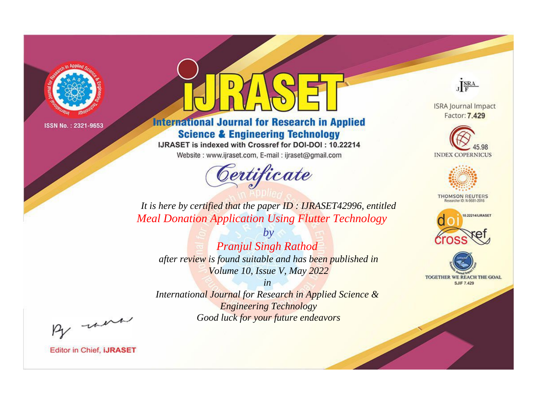

# **International Journal for Research in Applied Science & Engineering Technology**

IJRASET is indexed with Crossref for DOI-DOI: 10.22214

Website: www.ijraset.com, E-mail: ijraset@gmail.com



JERA

**ISRA Journal Impact** Factor: 7.429





**THOMSON REUTERS** 



TOGETHER WE REACH THE GOAL **SJIF 7.429** 

*It is here by certified that the paper ID : IJRASET42996, entitled Meal Donation Application Using Flutter Technology*

*by Pranjul Singh Rathod after review is found suitable and has been published in Volume 10, Issue V, May 2022*

*in* 

*International Journal for Research in Applied Science & Engineering Technology Good luck for your future endeavors*

By morn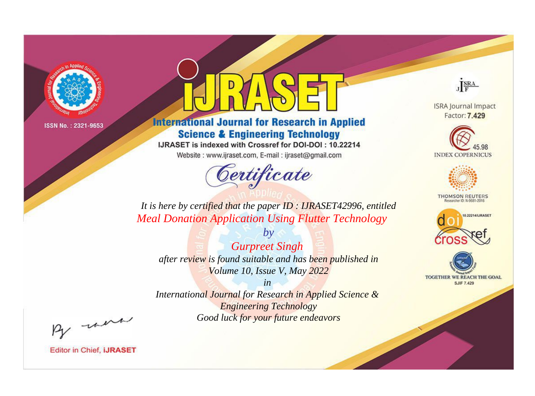

# **International Journal for Research in Applied Science & Engineering Technology**

IJRASET is indexed with Crossref for DOI-DOI: 10.22214

Website: www.ijraset.com, E-mail: ijraset@gmail.com



JERA

**ISRA Journal Impact** Factor: 7.429





**THOMSON REUTERS** 



TOGETHER WE REACH THE GOAL **SJIF 7.429** 

*It is here by certified that the paper ID : IJRASET42996, entitled Meal Donation Application Using Flutter Technology*

*by Gurpreet Singh after review is found suitable and has been published in Volume 10, Issue V, May 2022*

*in* 

*International Journal for Research in Applied Science & Engineering Technology Good luck for your future endeavors*

By morn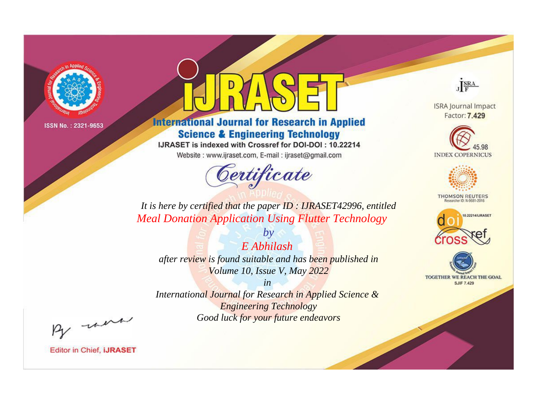

# **International Journal for Research in Applied Science & Engineering Technology**

IJRASET is indexed with Crossref for DOI-DOI: 10.22214

Website: www.ijraset.com, E-mail: ijraset@gmail.com



JERA

**ISRA Journal Impact** Factor: 7.429





**THOMSON REUTERS** 



TOGETHER WE REACH THE GOAL **SJIF 7.429** 

*It is here by certified that the paper ID : IJRASET42996, entitled Meal Donation Application Using Flutter Technology*

*E Abhilash after review is found suitable and has been published in Volume 10, Issue V, May 2022*

*by*

*in* 

*International Journal for Research in Applied Science & Engineering Technology Good luck for your future endeavors*

By morn